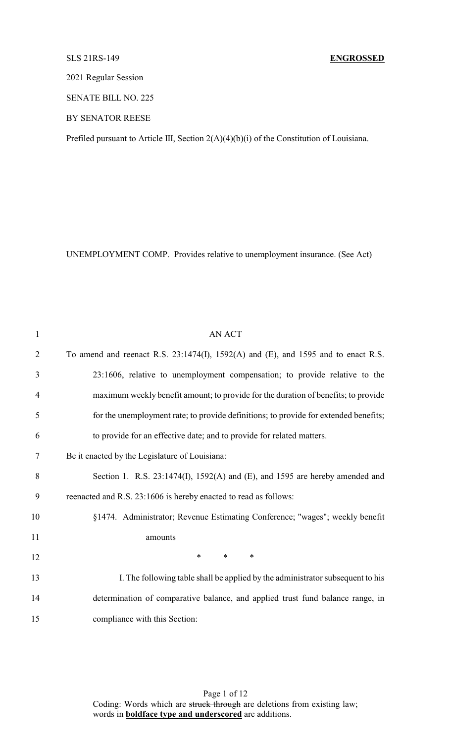# SLS 21RS-149 **ENGROSSED**

2021 Regular Session

SENATE BILL NO. 225

BY SENATOR REESE

Prefiled pursuant to Article III, Section 2(A)(4)(b)(i) of the Constitution of Louisiana.

UNEMPLOYMENT COMP. Provides relative to unemployment insurance. (See Act)

| $\mathbf{1}$   | <b>AN ACT</b>                                                                               |
|----------------|---------------------------------------------------------------------------------------------|
| $\overline{2}$ | To amend and reenact R.S. $23:1474(I)$ , $1592(A)$ and $(E)$ , and $1595$ and to enact R.S. |
| 3              | 23:1606, relative to unemployment compensation; to provide relative to the                  |
| $\overline{4}$ | maximum weekly benefit amount; to provide for the duration of benefits; to provide          |
| 5              | for the unemployment rate; to provide definitions; to provide for extended benefits;        |
| 6              | to provide for an effective date; and to provide for related matters.                       |
| 7              | Be it enacted by the Legislature of Louisiana:                                              |
| 8              | Section 1. R.S. 23:1474(I), 1592(A) and (E), and 1595 are hereby amended and                |
| 9              | reenacted and R.S. 23:1606 is hereby enacted to read as follows:                            |
| 10             | §1474. Administrator; Revenue Estimating Conference; "wages"; weekly benefit                |
| 11             | amounts                                                                                     |
| 12             | $\ast$<br>$\ast$<br>$\ast$                                                                  |
| 13             | I. The following table shall be applied by the administrator subsequent to his              |
| 14             | determination of comparative balance, and applied trust fund balance range, in              |
| 15             | compliance with this Section:                                                               |

Page 1 of 12 Coding: Words which are struck through are deletions from existing law; words in **boldface type and underscored** are additions.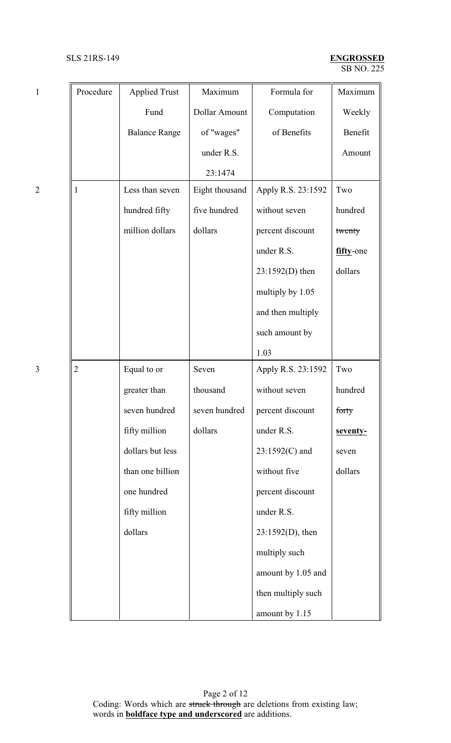# SB NO. 225 SLS 21RS-149 **ENGROSSED**

| $\mathbf{1}$   | Procedure      | <b>Applied Trust</b> | Maximum        | Formula for         | Maximum   |
|----------------|----------------|----------------------|----------------|---------------------|-----------|
|                |                | Fund                 | Dollar Amount  | Computation         | Weekly    |
|                |                | <b>Balance Range</b> | of "wages"     | of Benefits         | Benefit   |
|                |                |                      | under R.S.     |                     | Amount    |
|                |                |                      | 23:1474        |                     |           |
| $\overline{c}$ | 1              | Less than seven      | Eight thousand | Apply R.S. 23:1592  | Two       |
|                |                | hundred fifty        | five hundred   | without seven       | hundred   |
|                |                | million dollars      | dollars        | percent discount    | twenty    |
|                |                |                      |                | under R.S.          | fifty-one |
|                |                |                      |                | 23:1592(D) then     | dollars   |
|                |                |                      |                | multiply by 1.05    |           |
|                |                |                      |                | and then multiply   |           |
|                |                |                      |                | such amount by      |           |
|                |                |                      |                | 1.03                |           |
| $\overline{3}$ | $\overline{2}$ | Equal to or          | Seven          | Apply R.S. 23:1592  | Two       |
|                |                | greater than         | thousand       | without seven       | hundred   |
|                |                | seven hundred        | seven hundred  | percent discount    | forty     |
|                |                | fifty million        | dollars        | under R.S.          | seventy-  |
|                |                | dollars but less     |                | 23:1592(C) and      | seven     |
|                |                | than one billion     |                | without five        | dollars   |
|                |                | one hundred          |                | percent discount    |           |
|                |                | fifty million        |                | under R.S.          |           |
|                |                | dollars              |                | $23:1592(D)$ , then |           |
|                |                |                      |                | multiply such       |           |
|                |                |                      |                | amount by 1.05 and  |           |
|                |                |                      |                | then multiply such  |           |
|                |                |                      |                | amount by 1.15      |           |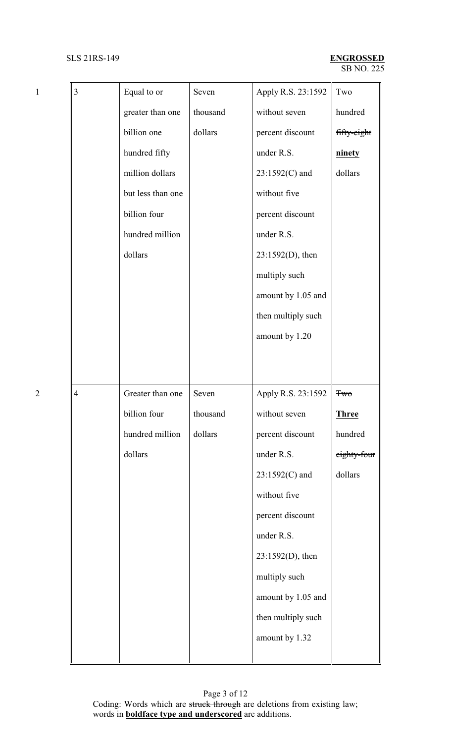| $\mathbf{1}$   | 3              | Equal to or       | Seven    | Apply R.S. 23:1592 | Two          |
|----------------|----------------|-------------------|----------|--------------------|--------------|
|                |                | greater than one  | thousand | without seven      | hundred      |
|                |                | billion one       | dollars  | percent discount   | fifty-eight  |
|                |                | hundred fifty     |          | under R.S.         | ninety       |
|                |                | million dollars   |          | 23:1592(C) and     | dollars      |
|                |                | but less than one |          | without five       |              |
|                |                | billion four      |          | percent discount   |              |
|                |                | hundred million   |          | under R.S.         |              |
|                |                | dollars           |          | 23:1592(D), then   |              |
|                |                |                   |          | multiply such      |              |
|                |                |                   |          | amount by 1.05 and |              |
|                |                |                   |          | then multiply such |              |
|                |                |                   |          | amount by 1.20     |              |
|                |                |                   |          |                    |              |
|                |                |                   |          |                    |              |
| $\overline{2}$ | $\overline{4}$ | Greater than one  | Seven    | Apply R.S. 23:1592 | <b>Two</b>   |
|                |                | billion four      | thousand | without seven      | <b>Three</b> |
|                |                | hundred million   | dollars  | percent discount   | hundred      |
|                |                | dollars           |          | under R.S.         | eighty-four  |
|                |                |                   |          | 23:1592(C) and     | dollars      |
|                |                |                   |          | without five       |              |
|                |                |                   |          | percent discount   |              |
|                |                |                   |          | under R.S.         |              |
|                |                |                   |          | 23:1592(D), then   |              |
|                |                |                   |          | multiply such      |              |
|                |                |                   |          | amount by 1.05 and |              |
|                |                |                   |          | then multiply such |              |
|                |                |                   |          | amount by 1.32     |              |
|                |                |                   |          |                    |              |

Page 3 of 12 Coding: Words which are struck through are deletions from existing law; words in **boldface type and underscored** are additions.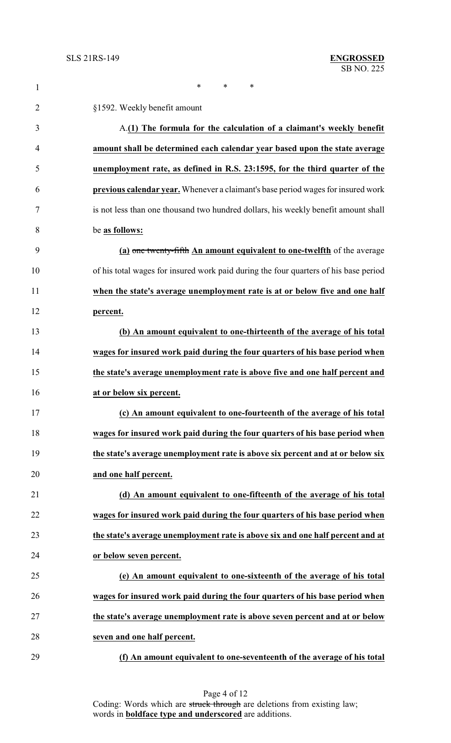| $\mathbf{1}$   | *<br>$\ast$<br>*                                                                     |
|----------------|--------------------------------------------------------------------------------------|
| $\overline{2}$ | §1592. Weekly benefit amount                                                         |
| 3              | A.(1) The formula for the calculation of a claimant's weekly benefit                 |
| 4              | amount shall be determined each calendar year based upon the state average           |
| 5              | unemployment rate, as defined in R.S. 23:1595, for the third quarter of the          |
| 6              | previous calendar year. Whenever a claimant's base period wages for insured work     |
| 7              | is not less than one thousand two hundred dollars, his weekly benefit amount shall   |
| 8              | be as follows:                                                                       |
| 9              | (a) one twenty-fifth An amount equivalent to one-twelfth of the average              |
| 10             | of his total wages for insured work paid during the four quarters of his base period |
| 11             | when the state's average unemployment rate is at or below five and one half          |
| 12             | percent.                                                                             |
| 13             | (b) An amount equivalent to one-thirteenth of the average of his total               |
| 14             | wages for insured work paid during the four quarters of his base period when         |
| 15             | the state's average unemployment rate is above five and one half percent and         |
| 16             | at or below six percent.                                                             |
| 17             | (c) An amount equivalent to one-fourteenth of the average of his total               |
| 18             | wages for insured work paid during the four quarters of his base period when         |
| 19             | the state's average unemployment rate is above six percent and at or below six       |
| 20             | and one half percent.                                                                |
| 21             | (d) An amount equivalent to one-fifteenth of the average of his total                |
| 22             | wages for insured work paid during the four quarters of his base period when         |
| 23             | the state's average unemployment rate is above six and one half percent and at       |
| 24             | or below seven percent.                                                              |
| 25             | (e) An amount equivalent to one-sixteenth of the average of his total                |
| 26             | wages for insured work paid during the four quarters of his base period when         |
| 27             | the state's average unemployment rate is above seven percent and at or below         |
| 28             | seven and one half percent.                                                          |
| 29             | (f) An amount equivalent to one-seventeenth of the average of his total              |

Page 4 of 12 Coding: Words which are struck through are deletions from existing law; words in **boldface type and underscored** are additions.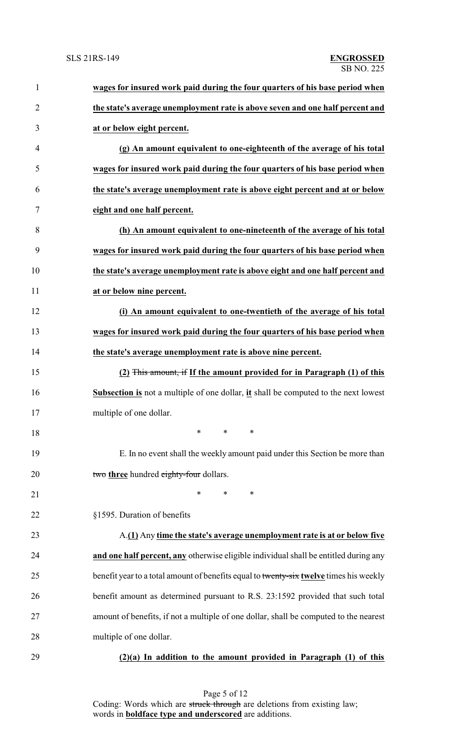| $\mathbf{1}$   | wages for insured work paid during the four quarters of his base period when           |
|----------------|----------------------------------------------------------------------------------------|
| $\overline{2}$ | the state's average unemployment rate is above seven and one half percent and          |
| 3              | at or below eight percent.                                                             |
| 4              | (g) An amount equivalent to one-eighteenth of the average of his total                 |
| 5              | wages for insured work paid during the four quarters of his base period when           |
| 6              | the state's average unemployment rate is above eight percent and at or below           |
| 7              | eight and one half percent.                                                            |
| 8              | (h) An amount equivalent to one-nineteenth of the average of his total                 |
| 9              | wages for insured work paid during the four quarters of his base period when           |
| 10             | the state's average unemployment rate is above eight and one half percent and          |
| 11             | at or below nine percent.                                                              |
| 12             | (i) An amount equivalent to one-twentieth of the average of his total                  |
| 13             | wages for insured work paid during the four quarters of his base period when           |
| 14             | the state's average unemployment rate is above nine percent.                           |
| 15             | (2) This amount, if If the amount provided for in Paragraph (1) of this                |
| 16             | Subsection is not a multiple of one dollar, it shall be computed to the next lowest    |
| 17             | multiple of one dollar.                                                                |
| 18             | $\ast$<br>$\ast$<br>∗                                                                  |
| 19             | E. In no event shall the weekly amount paid under this Section be more than            |
| 20             | two three hundred eighty-four dollars.                                                 |
| 21             | $\ast$<br>$\ast$<br>∗                                                                  |
| 22             | §1595. Duration of benefits                                                            |
| 23             | A.(1) Any time the state's average unemployment rate is at or below five               |
| 24             | and one half percent, any otherwise eligible individual shall be entitled during any   |
| 25             | benefit year to a total amount of benefits equal to twenty-six twelve times his weekly |
| 26             | benefit amount as determined pursuant to R.S. 23:1592 provided that such total         |
| 27             | amount of benefits, if not a multiple of one dollar, shall be computed to the nearest  |
| 28             | multiple of one dollar.                                                                |
| 29             | $(2)(a)$ In addition to the amount provided in Paragraph $(1)$ of this                 |

Page 5 of 12 Coding: Words which are struck through are deletions from existing law; words in **boldface type and underscored** are additions.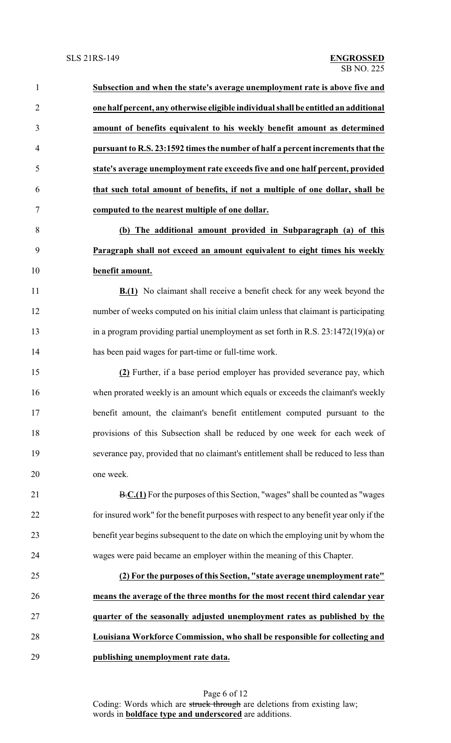**Subsection and when the state's average unemployment rate is above five and one half percent, any otherwise eligible individual shall be entitled an additional amount of benefits equivalent to his weekly benefit amount as determined pursuant to R.S. 23:1592 times the number of half a percent increments that the state's average unemployment rate exceeds five and one half percent, provided that such total amount of benefits, if not a multiple of one dollar, shall be computed to the nearest multiple of one dollar. (b) The additional amount provided in Subparagraph (a) of this**

 **Paragraph shall not exceed an amount equivalent to eight times his weekly benefit amount.**

**B.(1)** No claimant shall receive a benefit check for any week beyond the number of weeks computed on his initial claim unless that claimant is participating in a program providing partial unemployment as set forth in R.S. 23:1472(19)(a) or has been paid wages for part-time or full-time work.

 **(2)** Further, if a base period employer has provided severance pay, which when prorated weekly is an amount which equals or exceeds the claimant's weekly benefit amount, the claimant's benefit entitlement computed pursuant to the provisions of this Subsection shall be reduced by one week for each week of severance pay, provided that no claimant's entitlement shall be reduced to less than one week.

**B.C.(1)** For the purposes of this Section, "wages" shall be counted as "wages" for insured work" for the benefit purposes with respect to any benefit year only if the benefit year begins subsequent to the date on which the employing unit by whom the wages were paid became an employer within the meaning of this Chapter.

 **(2) For the purposes of this Section, "state average unemployment rate" means the average of the three months for the most recent third calendar year quarter of the seasonally adjusted unemployment rates as published by the Louisiana Workforce Commission, who shall be responsible for collecting and publishing unemployment rate data.**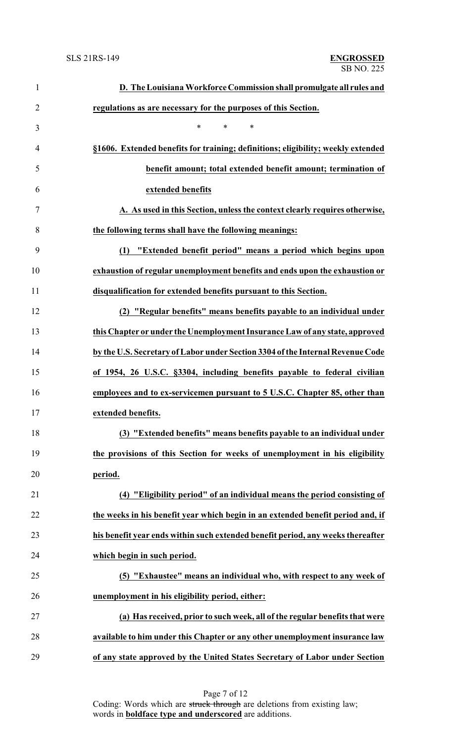| $\mathbf{1}$   | D. The Louisiana Workforce Commission shall promulgate all rules and             |
|----------------|----------------------------------------------------------------------------------|
| $\overline{2}$ | regulations as are necessary for the purposes of this Section.                   |
| 3              | $\ast$<br>$\ast$<br>$\ast$                                                       |
| 4              | §1606. Extended benefits for training; definitions; eligibility; weekly extended |
| 5              | benefit amount; total extended benefit amount; termination of                    |
| 6              | extended benefits                                                                |
| 7              | A. As used in this Section, unless the context clearly requires otherwise,       |
| 8              | the following terms shall have the following meanings:                           |
| 9              | "Extended benefit period" means a period which begins upon<br>(1)                |
| 10             | exhaustion of regular unemployment benefits and ends upon the exhaustion or      |
| 11             | disqualification for extended benefits pursuant to this Section.                 |
| 12             | (2) "Regular benefits" means benefits payable to an individual under             |
| 13             | this Chapter or under the Unemployment Insurance Law of any state, approved      |
| 14             | by the U.S. Secretary of Labor under Section 3304 of the Internal Revenue Code   |
| 15             | of 1954, 26 U.S.C. §3304, including benefits payable to federal civilian         |
| 16             | employees and to ex-servicemen pursuant to 5 U.S.C. Chapter 85, other than       |
| 17             | extended benefits.                                                               |
| 18             | (3) "Extended benefits" means benefits payable to an individual under            |
| 19             | the provisions of this Section for weeks of unemployment in his eligibility      |
| 20             | period.                                                                          |
| 21             | (4) "Eligibility period" of an individual means the period consisting of         |
| 22             | the weeks in his benefit year which begin in an extended benefit period and, if  |
| 23             | his benefit year ends within such extended benefit period, any weeks thereafter  |
| 24             | which begin in such period.                                                      |
| 25             | (5) "Exhaustee" means an individual who, with respect to any week of             |
| 26             | unemployment in his eligibility period, either:                                  |
| 27             | (a) Has received, prior to such week, all of the regular benefits that were      |
| 28             | available to him under this Chapter or any other unemployment insurance law      |
| 29             | of any state approved by the United States Secretary of Labor under Section      |

Page 7 of 12 Coding: Words which are struck through are deletions from existing law; words in **boldface type and underscored** are additions.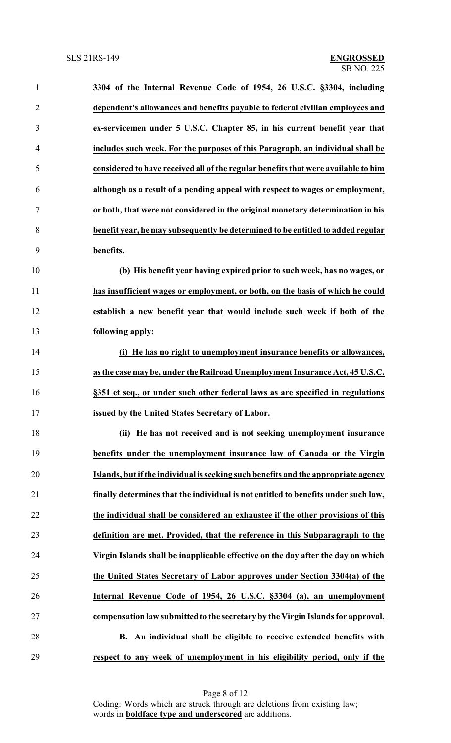| $\mathbf{1}$   | 3304 of the Internal Revenue Code of 1954, 26 U.S.C. §3304, including              |
|----------------|------------------------------------------------------------------------------------|
| $\overline{2}$ | dependent's allowances and benefits payable to federal civilian employees and      |
| 3              | ex-servicemen under 5 U.S.C. Chapter 85, in his current benefit year that          |
| 4              | includes such week. For the purposes of this Paragraph, an individual shall be     |
| 5              | considered to have received all of the regular benefits that were available to him |
| 6              | although as a result of a pending appeal with respect to wages or employment,      |
| 7              | or both, that were not considered in the original monetary determination in his    |
| 8              | benefit year, he may subsequently be determined to be entitled to added regular    |
| 9              | benefits.                                                                          |
| 10             | (b) His benefit year having expired prior to such week, has no wages, or           |
| 11             | has insufficient wages or employment, or both, on the basis of which he could      |
| 12             | establish a new benefit year that would include such week if both of the           |
| 13             | following apply:                                                                   |
| 14             | (i) He has no right to unemployment insurance benefits or allowances,              |
| 15             | as the case may be, under the Railroad Unemployment Insurance Act, 45 U.S.C.       |
| 16             | §351 et seq., or under such other federal laws as are specified in regulations     |
| 17             | issued by the United States Secretary of Labor.                                    |
| 18             | (ii) He has not received and is not seeking unemployment insurance                 |
| 19             | benefits under the unemployment insurance law of Canada or the Virgin              |
| 20             | Islands, but if the individual is seeking such benefits and the appropriate agency |
| 21             | finally determines that the individual is not entitled to benefits under such law, |
| 22             | the individual shall be considered an exhaustee if the other provisions of this    |
| 23             | definition are met. Provided, that the reference in this Subparagraph to the       |
| 24             | Virgin Islands shall be inapplicable effective on the day after the day on which   |
| 25             | the United States Secretary of Labor approves under Section 3304(a) of the         |
| 26             | Internal Revenue Code of 1954, 26 U.S.C. §3304 (a), an unemployment                |
| 27             | compensation law submitted to the secretary by the Virgin Islands for approval.    |
| 28             | B. An individual shall be eligible to receive extended benefits with               |
| 29             | respect to any week of unemployment in his eligibility period, only if the         |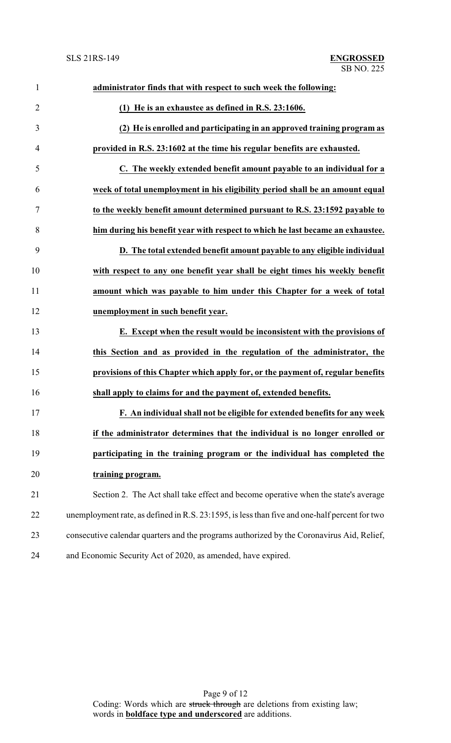# SB NO. 225 SLS 21RS-149 **ENGROSSED**

| $\mathbf{1}$   | administrator finds that with respect to such week the following:                             |
|----------------|-----------------------------------------------------------------------------------------------|
| $\overline{2}$ | (1) He is an exhaustee as defined in R.S. 23:1606.                                            |
| 3              | (2) He is enrolled and participating in an approved training program as                       |
| $\overline{4}$ | provided in R.S. 23:1602 at the time his regular benefits are exhausted.                      |
| 5              | C. The weekly extended benefit amount payable to an individual for a                          |
| 6              | week of total unemployment in his eligibility period shall be an amount equal                 |
| 7              | to the weekly benefit amount determined pursuant to R.S. 23:1592 payable to                   |
| 8              | him during his benefit year with respect to which he last became an exhaustee.                |
| 9              | D. The total extended benefit amount payable to any eligible individual                       |
| 10             | with respect to any one benefit year shall be eight times his weekly benefit                  |
| 11             | amount which was payable to him under this Chapter for a week of total                        |
| 12             | unemployment in such benefit year.                                                            |
| 13             | E. Except when the result would be inconsistent with the provisions of                        |
| 14             | this Section and as provided in the regulation of the administrator, the                      |
| 15             | provisions of this Chapter which apply for, or the payment of, regular benefits               |
| 16             | shall apply to claims for and the payment of, extended benefits.                              |
| 17             | F. An individual shall not be eligible for extended benefits for any week                     |
| 18             | if the administrator determines that the individual is no longer enrolled or                  |
| 19             | participating in the training program or the individual has completed the                     |
| 20             | training program.                                                                             |
| 21             | Section 2. The Act shall take effect and become operative when the state's average            |
| 22             | unemployment rate, as defined in R.S. 23:1595, is less than five and one-half percent for two |
| 23             | consecutive calendar quarters and the programs authorized by the Coronavirus Aid, Relief,     |
| 24             | and Economic Security Act of 2020, as amended, have expired.                                  |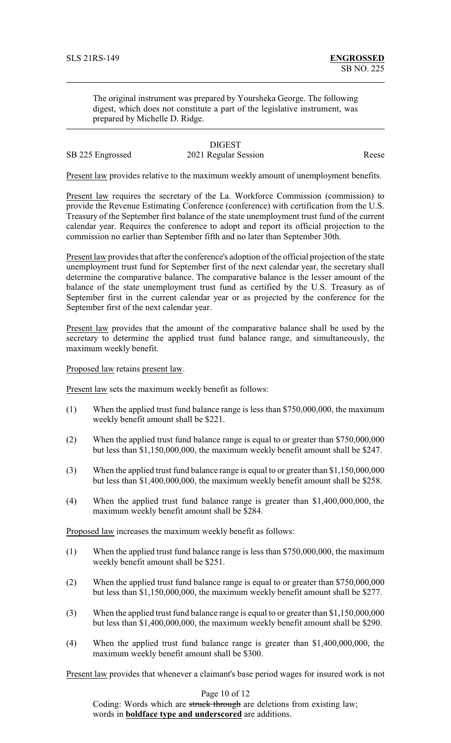The original instrument was prepared by Yoursheka George. The following digest, which does not constitute a part of the legislative instrument, was prepared by Michelle D. Ridge.

# **DIGEST**

# SB 225 Engrossed 2021 Regular Session Reese

Present law provides relative to the maximum weekly amount of unemployment benefits.

Present law requires the secretary of the La. Workforce Commission (commission) to provide the Revenue Estimating Conference (conference) with certification from the U.S. Treasury of the September first balance of the state unemployment trust fund of the current calendar year. Requires the conference to adopt and report its official projection to the commission no earlier than September fifth and no later than September 30th.

Present law provides that after the conference's adoption of the official projection of the state unemployment trust fund for September first of the next calendar year, the secretary shall determine the comparative balance. The comparative balance is the lesser amount of the balance of the state unemployment trust fund as certified by the U.S. Treasury as of September first in the current calendar year or as projected by the conference for the September first of the next calendar year.

Present law provides that the amount of the comparative balance shall be used by the secretary to determine the applied trust fund balance range, and simultaneously, the maximum weekly benefit.

Proposed law retains present law.

Present law sets the maximum weekly benefit as follows:

- (1) When the applied trust fund balance range is less than \$750,000,000, the maximum weekly benefit amount shall be \$221.
- (2) When the applied trust fund balance range is equal to or greater than \$750,000,000 but less than \$1,150,000,000, the maximum weekly benefit amount shall be \$247.
- (3) When the applied trust fund balance range is equal to or greater than \$1,150,000,000 but less than \$1,400,000,000, the maximum weekly benefit amount shall be \$258.
- (4) When the applied trust fund balance range is greater than \$1,400,000,000, the maximum weekly benefit amount shall be \$284.

Proposed law increases the maximum weekly benefit as follows:

- (1) When the applied trust fund balance range is less than \$750,000,000, the maximum weekly benefit amount shall be \$251.
- (2) When the applied trust fund balance range is equal to or greater than \$750,000,000 but less than \$1,150,000,000, the maximum weekly benefit amount shall be \$277.
- (3) When the applied trust fund balance range is equal to or greater than \$1,150,000,000 but less than \$1,400,000,000, the maximum weekly benefit amount shall be \$290.
- (4) When the applied trust fund balance range is greater than \$1,400,000,000, the maximum weekly benefit amount shall be \$300.

Present law provides that whenever a claimant's base period wages for insured work is not

Page 10 of 12

Coding: Words which are struck through are deletions from existing law; words in **boldface type and underscored** are additions.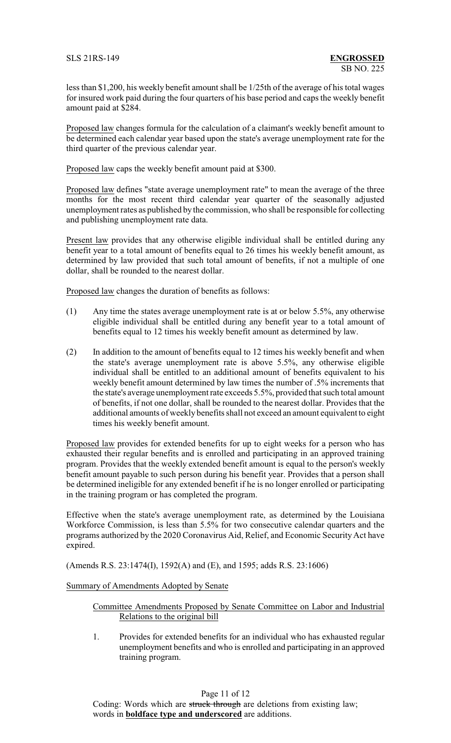less than \$1,200, his weekly benefit amount shall be 1/25th of the average of his total wages for insured work paid during the four quarters of his base period and caps the weekly benefit amount paid at \$284.

Proposed law changes formula for the calculation of a claimant's weekly benefit amount to be determined each calendar year based upon the state's average unemployment rate for the third quarter of the previous calendar year.

Proposed law caps the weekly benefit amount paid at \$300.

Proposed law defines "state average unemployment rate" to mean the average of the three months for the most recent third calendar year quarter of the seasonally adjusted unemployment rates as published bythe commission, who shall be responsible for collecting and publishing unemployment rate data.

Present law provides that any otherwise eligible individual shall be entitled during any benefit year to a total amount of benefits equal to 26 times his weekly benefit amount, as determined by law provided that such total amount of benefits, if not a multiple of one dollar, shall be rounded to the nearest dollar.

Proposed law changes the duration of benefits as follows:

- (1) Any time the states average unemployment rate is at or below 5.5%, any otherwise eligible individual shall be entitled during any benefit year to a total amount of benefits equal to 12 times his weekly benefit amount as determined by law.
- (2) In addition to the amount of benefits equal to 12 times his weekly benefit and when the state's average unemployment rate is above 5.5%, any otherwise eligible individual shall be entitled to an additional amount of benefits equivalent to his weekly benefit amount determined by law times the number of .5% increments that the state's average unemployment rate exceeds 5.5%, provided that such total amount of benefits, if not one dollar, shall be rounded to the nearest dollar. Provides that the additional amounts of weekly benefits shall not exceed an amount equivalent to eight times his weekly benefit amount.

Proposed law provides for extended benefits for up to eight weeks for a person who has exhausted their regular benefits and is enrolled and participating in an approved training program. Provides that the weekly extended benefit amount is equal to the person's weekly benefit amount payable to such person during his benefit year. Provides that a person shall be determined ineligible for any extended benefit if he is no longer enrolled or participating in the training program or has completed the program.

Effective when the state's average unemployment rate, as determined by the Louisiana Workforce Commission, is less than 5.5% for two consecutive calendar quarters and the programs authorized by the 2020 Coronavirus Aid, Relief, and Economic Security Act have expired.

(Amends R.S. 23:1474(I), 1592(A) and (E), and 1595; adds R.S. 23:1606)

# Summary of Amendments Adopted by Senate

## Committee Amendments Proposed by Senate Committee on Labor and Industrial Relations to the original bill

1. Provides for extended benefits for an individual who has exhausted regular unemployment benefits and who is enrolled and participating in an approved training program.

Page 11 of 12

Coding: Words which are struck through are deletions from existing law; words in **boldface type and underscored** are additions.